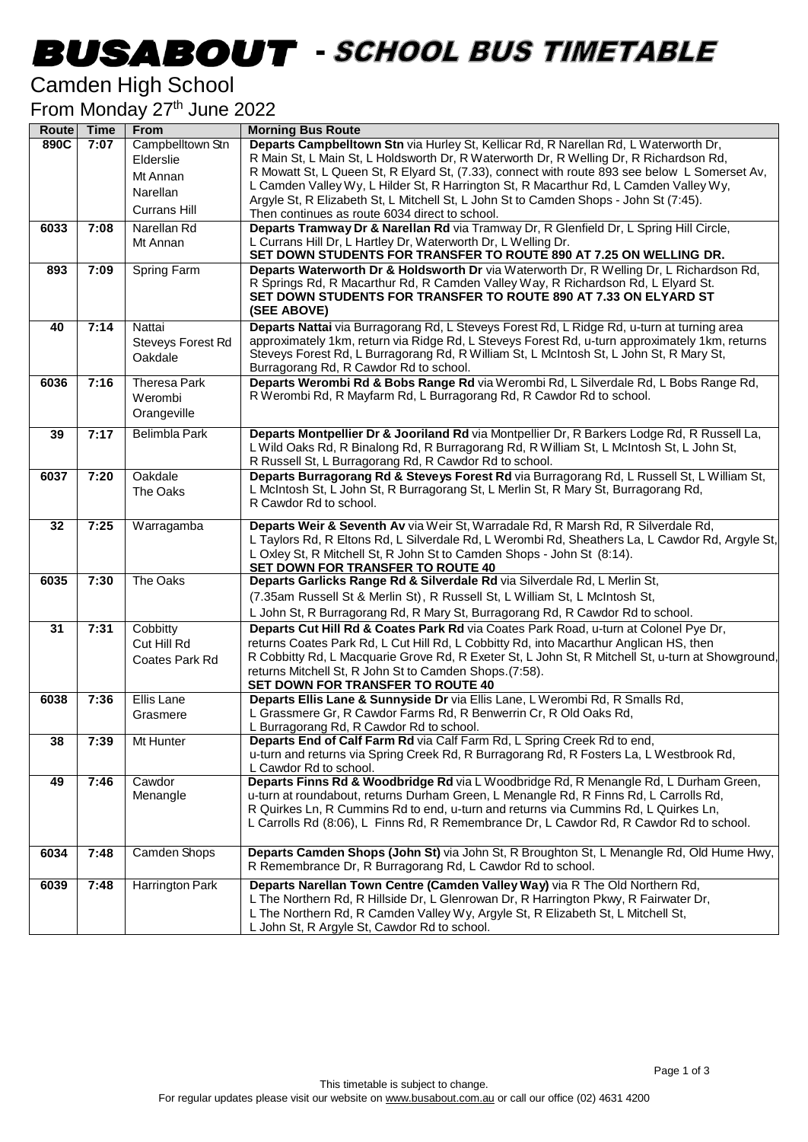## **BUSABOUT** - SCHOOL BUS TIMETABLE

#### Camden High School

From Monday 27<sup>th</sup> June 2022

| Route | Time | <b>From</b>         | <b>Morning Bus Route</b>                                                                                                                                                  |
|-------|------|---------------------|---------------------------------------------------------------------------------------------------------------------------------------------------------------------------|
| 890C  | 7:07 | Campbelltown Stn    | Departs Campbelltown Stn via Hurley St, Kellicar Rd, R Narellan Rd, L Waterworth Dr,                                                                                      |
|       |      | Elderslie           | R Main St, L Main St, L Holdsworth Dr, R Waterworth Dr, R Welling Dr, R Richardson Rd,                                                                                    |
|       |      | Mt Annan            | R Mowatt St, L Queen St, R Elyard St, (7.33), connect with route 893 see below L Somerset Av,                                                                             |
|       |      | Narellan            | L Camden Valley Wy, L Hilder St, R Harrington St, R Macarthur Rd, L Camden Valley Wy,                                                                                     |
|       |      | <b>Currans Hill</b> | Argyle St, R Elizabeth St, L Mitchell St, L John St to Camden Shops - John St (7:45).<br>Then continues as route 6034 direct to school.                                   |
| 6033  | 7:08 | Narellan Rd         | Departs Tramway Dr & Narellan Rd via Tramway Dr, R Glenfield Dr, L Spring Hill Circle,                                                                                    |
|       |      | Mt Annan            | L Currans Hill Dr, L Hartley Dr, Waterworth Dr, L Welling Dr.                                                                                                             |
|       |      |                     | SET DOWN STUDENTS FOR TRANSFER TO ROUTE 890 AT 7.25 ON WELLING DR.                                                                                                        |
| 893   | 7:09 | <b>Spring Farm</b>  | Departs Waterworth Dr & Holdsworth Dr via Waterworth Dr, R Welling Dr, L Richardson Rd,                                                                                   |
|       |      |                     | R Springs Rd, R Macarthur Rd, R Camden Valley Way, R Richardson Rd, L Elyard St.                                                                                          |
|       |      |                     | SET DOWN STUDENTS FOR TRANSFER TO ROUTE 890 AT 7.33 ON ELYARD ST                                                                                                          |
|       |      |                     | (SEE ABOVE)                                                                                                                                                               |
| 40    | 7:14 | Nattai              | Departs Nattai via Burragorang Rd, L Steveys Forest Rd, L Ridge Rd, u-turn at turning area                                                                                |
|       |      | Steveys Forest Rd   | approximately 1km, return via Ridge Rd, L Steveys Forest Rd, u-turn approximately 1km, returns                                                                            |
|       |      | Oakdale             | Steveys Forest Rd, L Burragorang Rd, R William St, L McIntosh St, L John St, R Mary St,                                                                                   |
|       | 7:16 | <b>Theresa Park</b> | Burragorang Rd, R Cawdor Rd to school.<br>Departs Werombi Rd & Bobs Range Rd via Werombi Rd, L Silverdale Rd, L Bobs Range Rd,                                            |
| 6036  |      | Werombi             | R Werombi Rd, R Mayfarm Rd, L Burragorang Rd, R Cawdor Rd to school.                                                                                                      |
|       |      | Orangeville         |                                                                                                                                                                           |
|       |      |                     |                                                                                                                                                                           |
| 39    | 7:17 | Belimbla Park       | Departs Montpellier Dr & Jooriland Rd via Montpellier Dr, R Barkers Lodge Rd, R Russell La,                                                                               |
|       |      |                     | L Wild Oaks Rd, R Binalong Rd, R Burragorang Rd, R William St, L McIntosh St, L John St,                                                                                  |
| 6037  | 7:20 | Oakdale             | R Russell St, L Burragorang Rd, R Cawdor Rd to school.<br>Departs Burragorang Rd & Steveys Forest Rd via Burragorang Rd, L Russell St, L William St,                      |
|       |      | The Oaks            | L McIntosh St, L John St, R Burragorang St, L Merlin St, R Mary St, Burragorang Rd,                                                                                       |
|       |      |                     | R Cawdor Rd to school.                                                                                                                                                    |
|       |      |                     |                                                                                                                                                                           |
| 32    | 7:25 | Warragamba          | Departs Weir & Seventh Av via Weir St, Warradale Rd, R Marsh Rd, R Silverdale Rd,                                                                                         |
|       |      |                     | L Taylors Rd, R Eltons Rd, L Silverdale Rd, L Werombi Rd, Sheathers La, L Cawdor Rd, Argyle St,<br>L Oxley St, R Mitchell St, R John St to Camden Shops - John St (8:14). |
|       |      |                     | SET DOWN FOR TRANSFER TO ROUTE 40                                                                                                                                         |
| 6035  | 7:30 | The Oaks            | Departs Garlicks Range Rd & Silverdale Rd via Silverdale Rd, L Merlin St,                                                                                                 |
|       |      |                     | (7.35am Russell St & Merlin St), R Russell St, L William St, L McIntosh St,                                                                                               |
|       |      |                     | L John St, R Burragorang Rd, R Mary St, Burragorang Rd, R Cawdor Rd to school.                                                                                            |
| 31    | 7:31 | Cobbitty            | Departs Cut Hill Rd & Coates Park Rd via Coates Park Road, u-turn at Colonel Pye Dr,                                                                                      |
|       |      | Cut Hill Rd         | returns Coates Park Rd, L Cut Hill Rd, L Cobbitty Rd, into Macarthur Anglican HS, then                                                                                    |
|       |      | Coates Park Rd      | R Cobbitty Rd, L Macquarie Grove Rd, R Exeter St, L John St, R Mitchell St, u-turn at Showground,                                                                         |
|       |      |                     | returns Mitchell St, R John St to Camden Shops.(7:58).                                                                                                                    |
|       |      |                     | <b>SET DOWN FOR TRANSFER TO ROUTE 40</b>                                                                                                                                  |
| 6038  | 7:36 | <b>Ellis Lane</b>   | Departs Ellis Lane & Sunnyside Dr via Ellis Lane, L Werombi Rd, R Smalls Rd,                                                                                              |
|       |      | Grasmere            | L Grassmere Gr, R Cawdor Farms Rd, R Benwerrin Cr, R Old Oaks Rd,<br>L Burragorang Rd, R Cawdor Rd to school.                                                             |
| 38    | 7:39 | Mt Hunter           | Departs End of Calf Farm Rd via Calf Farm Rd, L Spring Creek Rd to end,                                                                                                   |
|       |      |                     | u-turn and returns via Spring Creek Rd, R Burragorang Rd, R Fosters La, L Westbrook Rd,                                                                                   |
|       |      |                     | L Cawdor Rd to school.                                                                                                                                                    |
| 49    | 7:46 | Cawdor              | Departs Finns Rd & Woodbridge Rd via L Woodbridge Rd, R Menangle Rd, L Durham Green,                                                                                      |
|       |      | Menangle            | u-turn at roundabout, returns Durham Green, L Menangle Rd, R Finns Rd, L Carrolls Rd,                                                                                     |
|       |      |                     | R Quirkes Ln, R Cummins Rd to end, u-turn and returns via Cummins Rd, L Quirkes Ln,                                                                                       |
|       |      |                     | L Carrolls Rd (8:06), L Finns Rd, R Remembrance Dr, L Cawdor Rd, R Cawdor Rd to school.                                                                                   |
|       |      |                     |                                                                                                                                                                           |
| 6034  | 7:48 | Camden Shops        | Departs Camden Shops (John St) via John St, R Broughton St, L Menangle Rd, Old Hume Hwy,<br>R Remembrance Dr, R Burragorang Rd, L Cawdor Rd to school.                    |
|       |      |                     |                                                                                                                                                                           |
| 6039  | 7:48 | Harrington Park     | Departs Narellan Town Centre (Camden Valley Way) via R The Old Northern Rd,                                                                                               |
|       |      |                     | L The Northern Rd, R Hillside Dr, L Glenrowan Dr, R Harrington Pkwy, R Fairwater Dr,<br>L The Northern Rd, R Camden Valley Wy, Argyle St, R Elizabeth St, L Mitchell St,  |
|       |      |                     | L John St, R Argyle St, Cawdor Rd to school.                                                                                                                              |
|       |      |                     |                                                                                                                                                                           |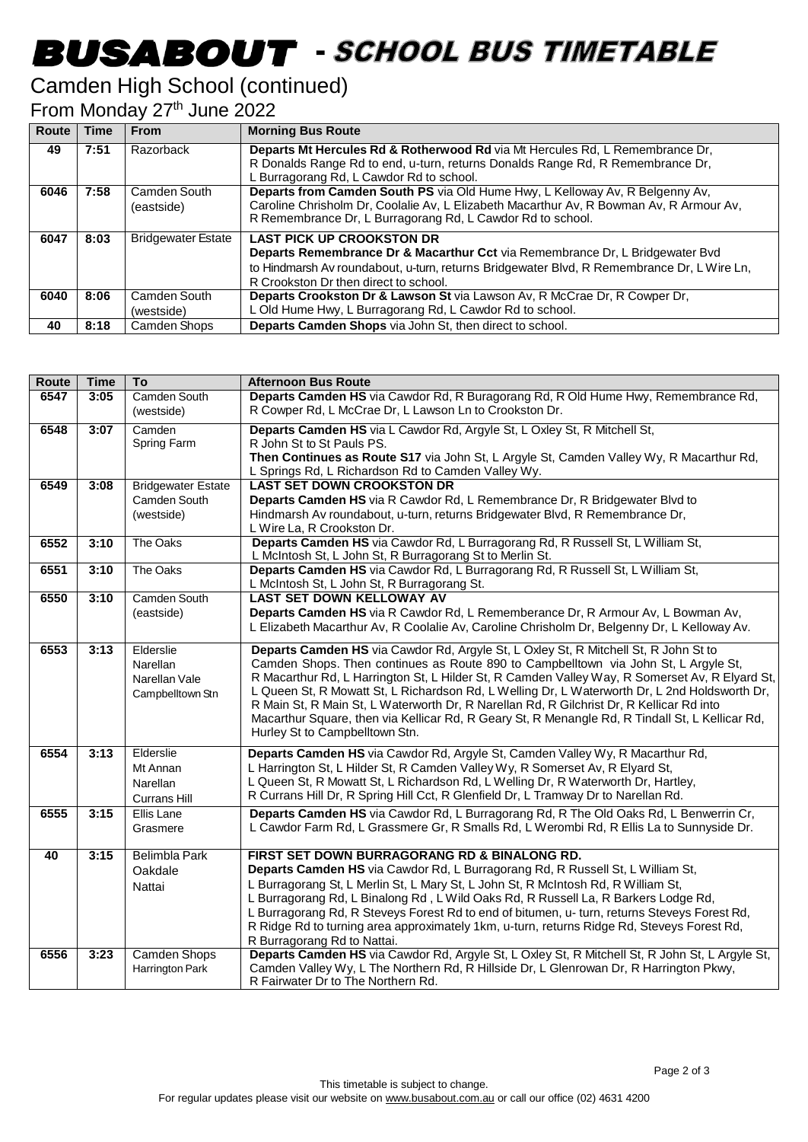# **BUSABOUT** - SCHOOL BUS TIMETABLE

### Camden High School (continued)

From Monday 27<sup>th</sup> June 2022

| <b>Route</b> | <b>Time</b> | <b>From</b>               | <b>Morning Bus Route</b>                                                                   |
|--------------|-------------|---------------------------|--------------------------------------------------------------------------------------------|
| 49           | 7:51        | Razorback                 | Departs Mt Hercules Rd & Rotherwood Rd via Mt Hercules Rd, L Remembrance Dr,               |
|              |             |                           | R Donalds Range Rd to end, u-turn, returns Donalds Range Rd, R Remembrance Dr,             |
|              |             |                           | L Burragorang Rd, L Cawdor Rd to school.                                                   |
| 6046         | 7:58        | Camden South              | Departs from Camden South PS via Old Hume Hwy, L Kelloway Av, R Belgenny Av,               |
|              |             | (eastside)                | Caroline Chrisholm Dr, Coolalie Av, L Elizabeth Macarthur Av, R Bowman Av, R Armour Av,    |
|              |             |                           | R Remembrance Dr, L Burragorang Rd, L Cawdor Rd to school.                                 |
| 6047         | 8:03        | <b>Bridgewater Estate</b> | <b>LAST PICK UP CROOKSTON DR</b>                                                           |
|              |             |                           | Departs Remembrance Dr & Macarthur Cct via Remembrance Dr, L Bridgewater Bvd               |
|              |             |                           | to Hindmarsh Av roundabout, u-turn, returns Bridgewater Blvd, R Remembrance Dr, L Wire Ln, |
|              |             |                           | R Crookston Dr then direct to school.                                                      |
| 6040         | 8:06        | Camden South              | Departs Crookston Dr & Lawson St via Lawson Av, R McCrae Dr, R Cowper Dr,                  |
|              |             | (westside)                | L Old Hume Hwy, L Burragorang Rd, L Cawdor Rd to school.                                   |
| 40           | 8:18        | Camden Shops              | Departs Camden Shops via John St, then direct to school.                                   |

| <b>Route</b> | <b>Time</b> | To                                        | <b>Afternoon Bus Route</b>                                                                                                                                                                |
|--------------|-------------|-------------------------------------------|-------------------------------------------------------------------------------------------------------------------------------------------------------------------------------------------|
| 6547         | 3:05        | Camden South                              | Departs Camden HS via Cawdor Rd, R Buragorang Rd, R Old Hume Hwy, Remembrance Rd,                                                                                                         |
|              |             | (westside)                                | R Cowper Rd, L McCrae Dr, L Lawson Ln to Crookston Dr.                                                                                                                                    |
| 6548         | 3:07        | Camden                                    | Departs Camden HS via L Cawdor Rd, Argyle St, L Oxley St, R Mitchell St,                                                                                                                  |
|              |             | Spring Farm                               | R John St to St Pauls PS.                                                                                                                                                                 |
|              |             |                                           | Then Continues as Route S17 via John St, L Argyle St, Camden Valley Wy, R Macarthur Rd,                                                                                                   |
|              |             |                                           | L Springs Rd, L Richardson Rd to Camden Valley Wy.<br><b>LAST SET DOWN CROOKSTON DR</b>                                                                                                   |
| 6549         | 3:08        | <b>Bridgewater Estate</b><br>Camden South | Departs Camden HS via R Cawdor Rd, L Remembrance Dr, R Bridgewater Blvd to                                                                                                                |
|              |             | (westside)                                | Hindmarsh Av roundabout, u-turn, returns Bridgewater Blvd, R Remembrance Dr,                                                                                                              |
|              |             |                                           | L Wire La, R Crookston Dr.                                                                                                                                                                |
| 6552         | 3:10        | The Oaks                                  | Departs Camden HS via Cawdor Rd, L Burragorang Rd, R Russell St, L William St,                                                                                                            |
|              |             |                                           | L McIntosh St, L John St, R Burragorang St to Merlin St.                                                                                                                                  |
| 6551         | 3:10        | The Oaks                                  | Departs Camden HS via Cawdor Rd, L Burragorang Rd, R Russell St, L William St,                                                                                                            |
|              |             |                                           | L McIntosh St, L John St, R Burragorang St.                                                                                                                                               |
| 6550         | 3:10        | Camden South                              | LAST SET DOWN KELLOWAY AV                                                                                                                                                                 |
|              |             | (eastside)                                | Departs Camden HS via R Cawdor Rd, L Rememberance Dr, R Armour Av, L Bowman Av,                                                                                                           |
|              |             |                                           | L Elizabeth Macarthur Av, R Coolalie Av, Caroline Chrisholm Dr, Belgenny Dr, L Kelloway Av.                                                                                               |
| 6553         | 3:13        | Elderslie                                 | Departs Camden HS via Cawdor Rd, Argyle St, L Oxley St, R Mitchell St, R John St to                                                                                                       |
|              |             | Narellan                                  | Camden Shops. Then continues as Route 890 to Campbelltown via John St, L Argyle St,                                                                                                       |
|              |             | Narellan Vale                             | R Macarthur Rd, L Harrington St, L Hilder St, R Camden Valley Way, R Somerset Av, R Elyard St,                                                                                            |
|              |             | Campbelltown Stn                          | L Queen St, R Mowatt St, L Richardson Rd, L Welling Dr, L Waterworth Dr, L 2nd Holdsworth Dr,<br>R Main St, R Main St, L Waterworth Dr, R Narellan Rd, R Gilchrist Dr, R Kellicar Rd into |
|              |             |                                           | Macarthur Square, then via Kellicar Rd, R Geary St, R Menangle Rd, R Tindall St, L Kellicar Rd,                                                                                           |
|              |             |                                           | Hurley St to Campbelltown Stn.                                                                                                                                                            |
| 6554         | 3:13        | Elderslie                                 | Departs Camden HS via Cawdor Rd, Argyle St, Camden Valley Wy, R Macarthur Rd,                                                                                                             |
|              |             | Mt Annan                                  | L Harrington St, L Hilder St, R Camden Valley Wy, R Somerset Av, R Elyard St,                                                                                                             |
|              |             | Narellan                                  | L Queen St, R Mowatt St, L Richardson Rd, L Welling Dr, R Waterworth Dr, Hartley,                                                                                                         |
|              |             | <b>Currans Hill</b>                       | R Currans Hill Dr, R Spring Hill Cct, R Glenfield Dr, L Tramway Dr to Narellan Rd.                                                                                                        |
| 6555         | 3:15        | <b>Ellis Lane</b>                         | Departs Camden HS via Cawdor Rd, L Burragorang Rd, R The Old Oaks Rd, L Benwerrin Cr,                                                                                                     |
|              |             | Grasmere                                  | L Cawdor Farm Rd, L Grassmere Gr, R Smalls Rd, L Werombi Rd, R Ellis La to Sunnyside Dr.                                                                                                  |
|              |             |                                           |                                                                                                                                                                                           |
| 40           | 3:15        | <b>Belimbla Park</b>                      | FIRST SET DOWN BURRAGORANG RD & BINALONG RD.<br>Departs Camden HS via Cawdor Rd, L Burragorang Rd, R Russell St, L William St,                                                            |
|              |             | Oakdale                                   | L Burragorang St, L Merlin St, L Mary St, L John St, R McIntosh Rd, R William St,                                                                                                         |
|              |             | Nattai                                    | L Burragorang Rd, L Binalong Rd, L Wild Oaks Rd, R Russell La, R Barkers Lodge Rd,                                                                                                        |
|              |             |                                           | L Burragorang Rd, R Steveys Forest Rd to end of bitumen, u- turn, returns Steveys Forest Rd,                                                                                              |
|              |             |                                           | R Ridge Rd to turning area approximately 1km, u-turn, returns Ridge Rd, Steveys Forest Rd,                                                                                                |
|              |             |                                           | R Burragorang Rd to Nattai.                                                                                                                                                               |
| 6556         | 3:23        | <b>Camden Shops</b>                       | Departs Camden HS via Cawdor Rd, Argyle St, L Oxley St, R Mitchell St, R John St, L Argyle St,                                                                                            |
|              |             | Harrington Park                           | Camden Valley Wy, L The Northern Rd, R Hillside Dr, L Glenrowan Dr, R Harrington Pkwy,                                                                                                    |
|              |             |                                           | R Fairwater Dr to The Northern Rd.                                                                                                                                                        |